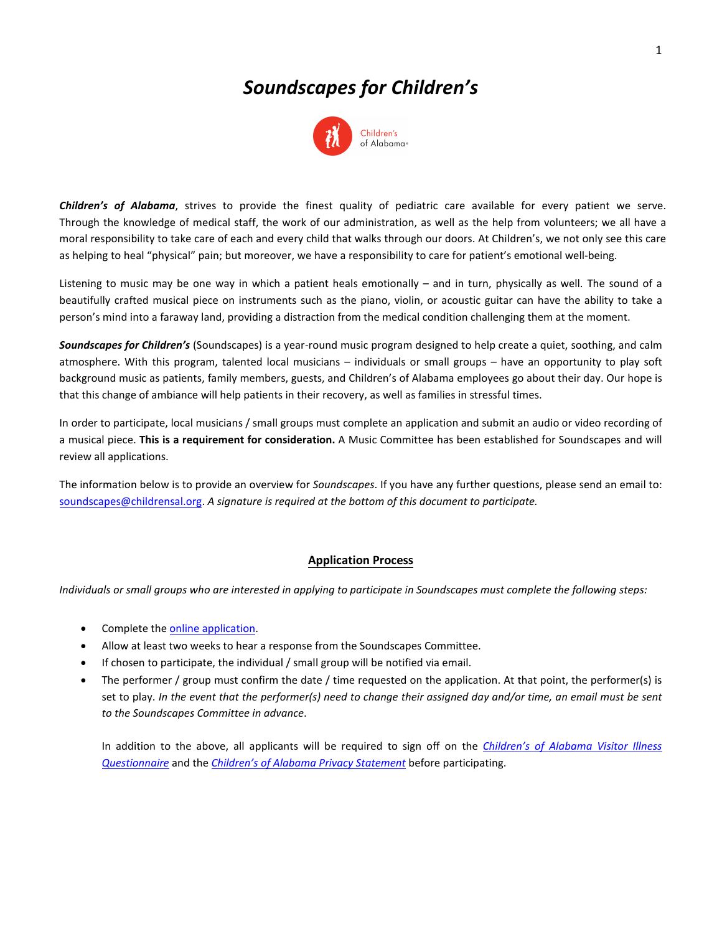# *Soundscapes for Children's*



*Children's of Alabama*, strives to provide the finest quality of pediatric care available for every patient we serve. Through the knowledge of medical staff, the work of our administration, as well as the help from volunteers; we all have a moral responsibility to take care of each and every child that walks through our doors. At Children's, we not only see this care as helping to heal "physical" pain; but moreover, we have a responsibility to care for patient's emotional well-being.

Listening to music may be one way in which a patient heals emotionally – and in turn, physically as well. The sound of a beautifully crafted musical piece on instruments such as the piano, violin, or acoustic guitar can have the ability to take a person's mind into a faraway land, providing a distraction from the medical condition challenging them at the moment.

*Soundscapes for Children's* (Soundscapes) is a year-round music program designed to help create a quiet, soothing, and calm atmosphere. With this program, talented local musicians – individuals or small groups – have an opportunity to play soft background music as patients, family members, guests, and Children's of Alabama employees go about their day. Our hope is that this change of ambiance will help patients in their recovery, as well as families in stressful times.

In order to participate, local musicians / small groups must complete an application and submit an audio or video recording of a musical piece. **This is a requirement for consideration.** A Music Committee has been established for Soundscapes and will review all applications.

The information below is to provide an overview for *Soundscapes*. If you have any further questions, please send an email to: [soundscapes@childrensal.org.](mailto:soundscapes@Childrensal.org?subject=Soundscapes%20Application%20Questions) *A signature is required at the bottom of this document to participate.*

# **Application Process**

*Individuals or small groups who are interested in applying to participate in Soundscapes must complete the following steps:*

- Complete the [online application.](https://www.childrensal.org/soundscapes-application-form)
- Allow at least two weeks to hear a response from the Soundscapes Committee.
- If chosen to participate, the individual / small group will be notified via email.
- The performer / group must confirm the date / time requested on the application. At that point, the performer(s) is set to play. *In the event that the performer(s) need to change their assigned day and/or time, an email must be sent to the Soundscapes Committee in advance*.

In addition to the above, all applicants will be required to sign off on the *[Children's of Alabama](https://www.childrensal.org/workfiles/soundscapes/visitor_illness_form.pdf) Visitor Illness [Questionnaire](https://www.childrensal.org/workfiles/soundscapes/visitor_illness_form.pdf)* and the *[Children's of Alabama Privacy Statement](https://www.childrensal.org/workfiles/soundscapes/privacy_statement_form.pdf)* before participating.